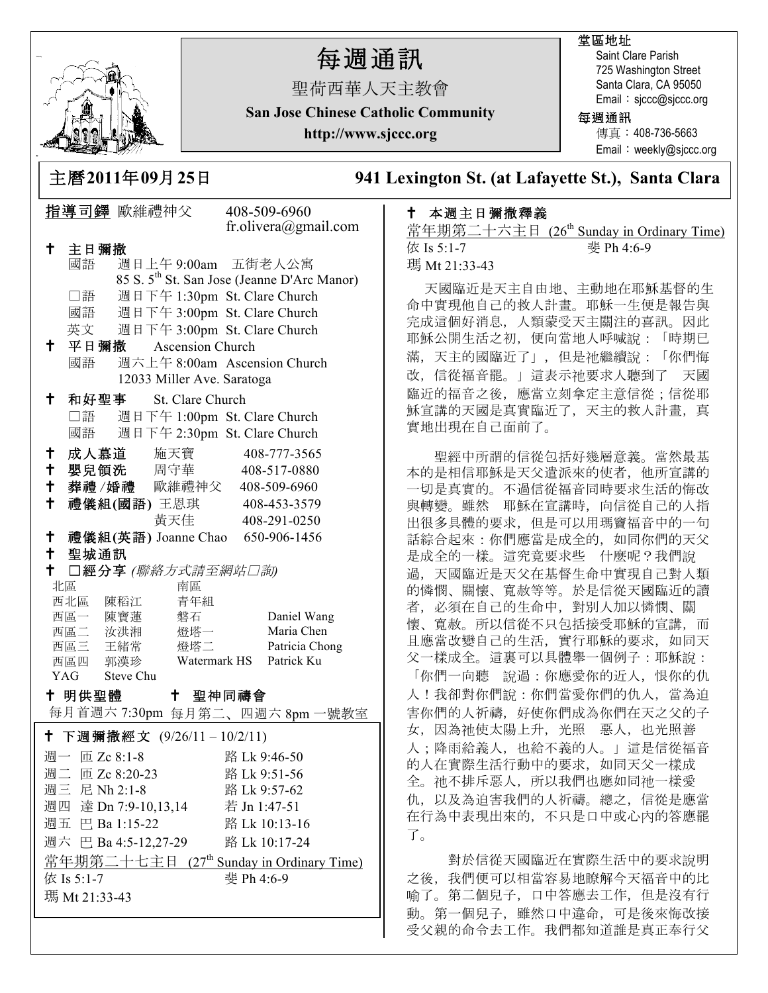

Ξ

# 每週通訊

聖荷西華人天主教會

堂區地址

Saint Clare Parish 725 Washington Street Santa Clara, CA 95050 Email: sjccc@sjccc.org

**San Jose Chinese Catholic Community**

**http://www.sjccc.org**

### 每週通訊

傳真:408-736-5663 Email:weekly@sjccc.org

**241 Lexington St. (at Lafayette St.), Santa Clara** 

## ! 本週主日彌撒釋義

常年期第二十六主日 (26<sup>th</sup> Sunday in Ordinary Time) 依 Is 5:1-7 斐 Ph 4:6-9 瑪 Mt 21:33-43

天國臨近是天主自由地、主動地在耶穌基督的生 命中實現他自己的救人計畫。耶穌一生便是報告與 完成這個好消息,人類蒙受天主關注的喜訊。因此 耶穌公開生活之初,便向當地人呼喊說:「時期已 滿,天主的國臨近了」,但是祂繼續說:「你們悔 改,信從福音罷。」這表示祂要求人聽到了 天國 臨近的福音之後,應當立刻拿定主意信從;信從耶 穌宣講的天國是真實臨近了,天主的救人計畫,真 實地出現在自己面前了。

 聖經中所謂的信從包括好幾層意義。當然最基 本的是相信耶穌是天父遣派來的使者,他所宣講的 一切是真實的。不過信從福音同時要求生活的悔改 與轉變。雖然 耶穌在宣講時,向信從自己的人指 出很多具體的要求,但是可以用瑪竇福音中的一句 話綜合起來:你們應當是成全的,如同你們的天父 是成全的一樣。這究竟要求些 什麼呢?我們說 過,天國臨近是天父在基督生命中實現自己對人類 的憐憫、關懷、寬赦等等。於是信從天國臨近的讀 者,必須在自己的生命中,對別人加以憐憫、關 懷、寬赦。所以信從不只包括接受耶穌的宣講,而 且應當改變自己的生活,實行耶穌的要求,如同天 父一樣成全。這裏可以具體舉一個例子:耶穌說: 「你們一向聽 說過:你應愛你的近人,恨你的仇 人!我卻對你們說:你們當愛你們的仇人,當為迫 害你們的人祈禱,好使你們成為你們在天之父的子 女,因為祂使太陽上升,光照 惡人,也光照善 人;降雨給義人,也給不義的人。」這是信從福音 的人在實際生活行動中的要求,如同天父一樣成 全。祂不排斥惡人,所以我們也應如同祂一樣愛 仇,以及為迫害我們的人祈禱。總之,信從是應當 在行為中表現出來的,不只是口中或心內的答應罷 了。

 對於信從天國臨近在實際生活中的要求說明 之後,我們便可以相當容易地瞭解今天福音中的比 喻了。第二個兒子,口中答應去工作,但是沒有行 動。第一個兒子,雖然口中違命,可是後來悔改接 受父親的命令去工作。我們都知道誰是真正奉行父

|                                                    | у.                                                           |
|----------------------------------------------------|--------------------------------------------------------------|
| 指導司鐸 歐維禮神父                                         | 408-509-6960                                                 |
|                                                    | fr.olivera@gmail.com                                         |
| $\mathsf{t}^-$<br>主日彌撒                             |                                                              |
| 週日上午 9:00am 五街老人公寓<br>國語                           |                                                              |
|                                                    | 85 S. 5 <sup>th</sup> St. San Jose (Jeanne D'Arc Manor)      |
| □語                                                 | 週日下午 1:30pm St. Clare Church                                 |
| 國語<br>英文                                           | 週日下午 3:00pm St. Clare Church<br>週日下午 3:00pm St. Clare Church |
| 十 平日彌撒 Ascension Church                            |                                                              |
| 國語                                                 | 週六上午 8:00am Ascension Church                                 |
| 12033 Miller Ave. Saratoga                         |                                                              |
| $^\dagger$<br>和好聖事<br>St. Clare Church             |                                                              |
| □語                                                 | 週日下午 1:00pm St. Clare Church                                 |
| 國語                                                 | 週日下午 2:30pm St. Clare Church                                 |
| 成人慕道 施天寶<br>$\mathbf t$                            | 408-777-3565                                                 |
| †<br>嬰兒領洗 周守華                                      | 408-517-0880                                                 |
| $\mathsf{t}$<br>葬禮/婚禮 歐維禮神父 408-509-6960           |                                                              |
| †<br>禮儀組(國語) 王恩琪 408-453-3579                      |                                                              |
| 黃天佳                                                | 408-291-0250                                                 |
| $\mathbf +$<br>禮儀組(英語) Joanne Chao 650-906-1456    |                                                              |
| ↑ 聖城通訊                                             |                                                              |
| $\mathbf +$<br>□經分享 (聯絡方式請至網站□詢)<br>北區<br>南區       |                                                              |
| 西北區 陳稻江<br>青年組                                     |                                                              |
| 西區一 陳寶蓮<br>磐石                                      | Daniel Wang                                                  |
| 西區二 汝洪湘<br>燈塔一                                     | Maria Chen                                                   |
| 西區三 王緒常<br>燈塔二                                     | Patricia Chong                                               |
| 西區四 郭漢珍<br>Watermark HS<br>YAG Steve Chu           | Patrick Ku                                                   |
|                                                    |                                                              |
| † 明供聖體 │ † 聖神同禱會<br>每月首週六 7:30pm 每月第二、四週六 8pm 一號教室 |                                                              |
|                                                    |                                                              |
| 下週彌撒經文 (9/26/11-10/2/11)<br>╋.                     |                                                              |
| 週一 匝 Zc 8:1-8                                      | 路 Lk 9:46-50                                                 |
| 週二 匝 Zc 8:20-23                                    | 路 Lk 9:51-56                                                 |
| 週三 尼 Nh 2:1-8<br>週四 達 Dn 7:9-10,13,14              | 路 Lk 9:57-62                                                 |
| 週五 巴 Ba 1:15-22                                    | 若 Jn 1:47-51<br>路 Lk 10:13-16                                |
| 週六 巴 Ba 4:5-12,27-29                               | 路 Lk 10:17-24                                                |
| 常年期第二十七主日 (27th Sunday in Ordinary Time)           |                                                              |
| 依 Is 5:1-7                                         | 斐 Ph 4:6-9                                                   |
| 瑪 Mt 21:33-43                                      |                                                              |
|                                                    |                                                              |